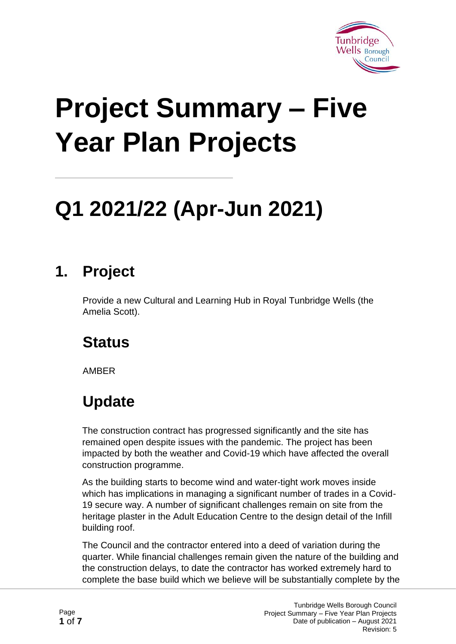

# **Project Summary – Five Year Plan Projects**

## **Q1 2021/22 (Apr-Jun 2021)**

#### **1. Project**

Provide a new Cultural and Learning Hub in Royal Tunbridge Wells (the Amelia Scott).

#### **Status**

AMBER

#### **Update**

The construction contract has progressed significantly and the site has remained open despite issues with the pandemic. The project has been impacted by both the weather and Covid-19 which have affected the overall construction programme.

As the building starts to become wind and water-tight work moves inside which has implications in managing a significant number of trades in a Covid-19 secure way. A number of significant challenges remain on site from the heritage plaster in the Adult Education Centre to the design detail of the Infill building roof.

The Council and the contractor entered into a deed of variation during the quarter. While financial challenges remain given the nature of the building and the construction delays, to date the contractor has worked extremely hard to complete the base build which we believe will be substantially complete by the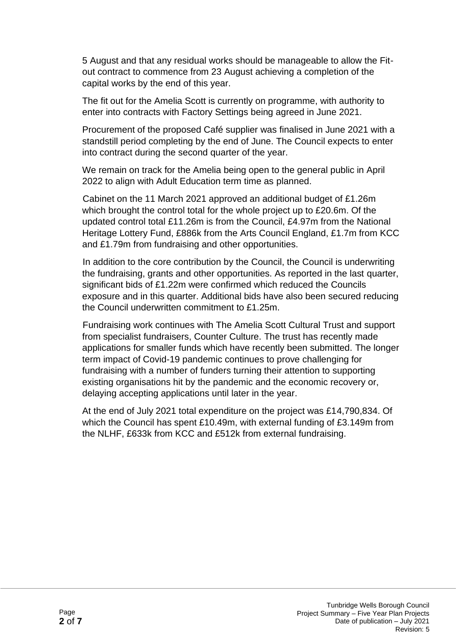5 August and that any residual works should be manageable to allow the Fitout contract to commence from 23 August achieving a completion of the capital works by the end of this year.

The fit out for the Amelia Scott is currently on programme, with authority to enter into contracts with Factory Settings being agreed in June 2021.

Procurement of the proposed Café supplier was finalised in June 2021 with a standstill period completing by the end of June. The Council expects to enter into contract during the second quarter of the year.

We remain on track for the Amelia being open to the general public in April 2022 to align with Adult Education term time as planned.

Cabinet on the 11 March 2021 approved an additional budget of £1.26m which brought the control total for the whole project up to £20.6m. Of the updated control total £11.26m is from the Council, £4.97m from the National Heritage Lottery Fund, £886k from the Arts Council England, £1.7m from KCC and £1.79m from fundraising and other opportunities.

In addition to the core contribution by the Council, the Council is underwriting the fundraising, grants and other opportunities. As reported in the last quarter, significant bids of £1.22m were confirmed which reduced the Councils exposure and in this quarter. Additional bids have also been secured reducing the Council underwritten commitment to £1.25m.

Fundraising work continues with The Amelia Scott Cultural Trust and support from specialist fundraisers, Counter Culture. The trust has recently made applications for smaller funds which have recently been submitted. The longer term impact of Covid-19 pandemic continues to prove challenging for fundraising with a number of funders turning their attention to supporting existing organisations hit by the pandemic and the economic recovery or, delaying accepting applications until later in the year.

At the end of July 2021 total expenditure on the project was £14,790,834. Of which the Council has spent £10.49m, with external funding of £3.149m from the NLHF, £633k from KCC and £512k from external fundraising.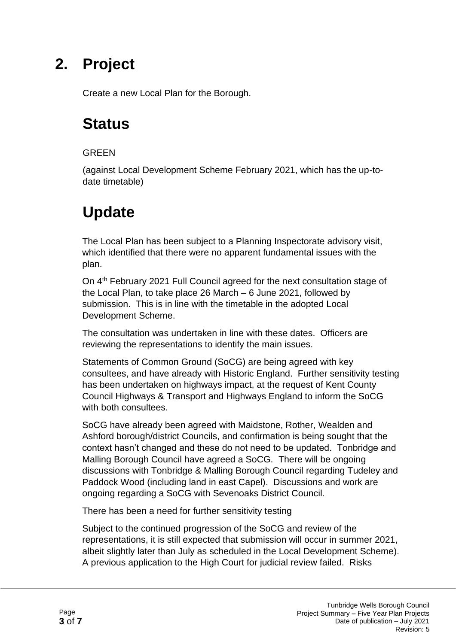Create a new Local Plan for the Borough.

#### **Status**

#### **GREEN**

(against Local Development Scheme February 2021, which has the up-todate timetable)

#### **Update**

The Local Plan has been subject to a Planning Inspectorate advisory visit, which identified that there were no apparent fundamental issues with the plan.

On 4th February 2021 Full Council agreed for the next consultation stage of the Local Plan, to take place 26 March – 6 June 2021, followed by submission. This is in line with the timetable in the adopted Local Development Scheme.

The consultation was undertaken in line with these dates. Officers are reviewing the representations to identify the main issues.

Statements of Common Ground (SoCG) are being agreed with key consultees, and have already with Historic England. Further sensitivity testing has been undertaken on highways impact, at the request of Kent County Council Highways & Transport and Highways England to inform the SoCG with both consultees.

SoCG have already been agreed with Maidstone, Rother, Wealden and Ashford borough/district Councils, and confirmation is being sought that the context hasn't changed and these do not need to be updated. Tonbridge and Malling Borough Council have agreed a SoCG. There will be ongoing discussions with Tonbridge & Malling Borough Council regarding Tudeley and Paddock Wood (including land in east Capel). Discussions and work are ongoing regarding a SoCG with Sevenoaks District Council.

There has been a need for further sensitivity testing

Subject to the continued progression of the SoCG and review of the representations, it is still expected that submission will occur in summer 2021, albeit slightly later than July as scheduled in the Local Development Scheme). A previous application to the High Court for judicial review failed. Risks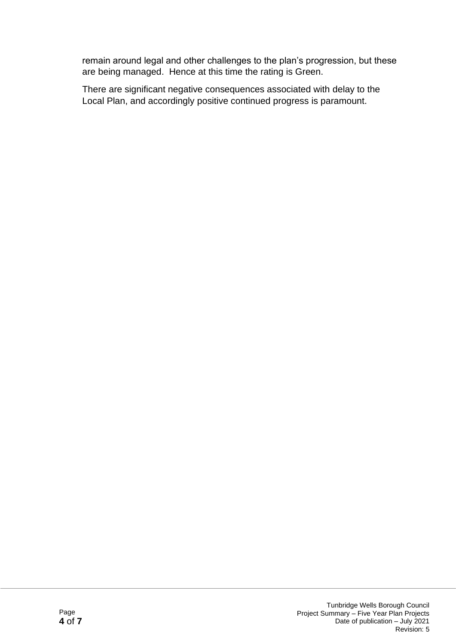remain around legal and other challenges to the plan's progression, but these are being managed. Hence at this time the rating is Green.

There are significant negative consequences associated with delay to the Local Plan, and accordingly positive continued progress is paramount.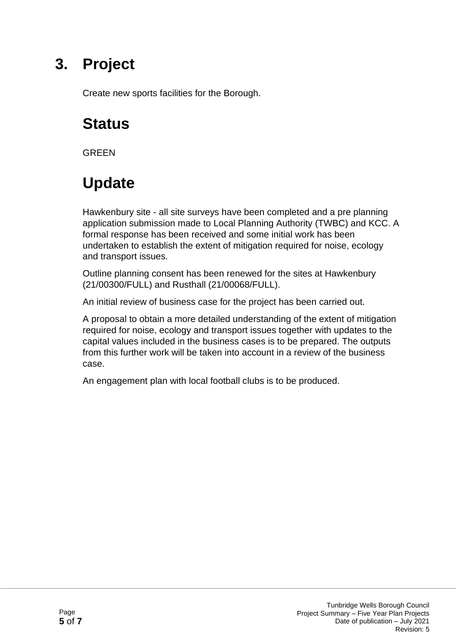Create new sports facilities for the Borough.

#### **Status**

**GRFFN** 

#### **Update**

Hawkenbury site - all site surveys have been completed and a pre planning application submission made to Local Planning Authority (TWBC) and KCC. A formal response has been received and some initial work has been undertaken to establish the extent of mitigation required for noise, ecology and transport issues.

Outline planning consent has been renewed for the sites at Hawkenbury (21/00300/FULL) and Rusthall (21/00068/FULL).

An initial review of business case for the project has been carried out.

A proposal to obtain a more detailed understanding of the extent of mitigation required for noise, ecology and transport issues together with updates to the capital values included in the business cases is to be prepared. The outputs from this further work will be taken into account in a review of the business case.

An engagement plan with local football clubs is to be produced.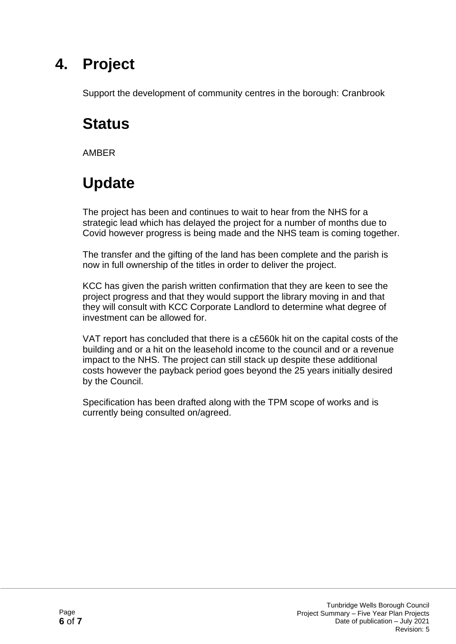Support the development of community centres in the borough: Cranbrook

#### **Status**

AMBER

### **Update**

The project has been and continues to wait to hear from the NHS for a strategic lead which has delayed the project for a number of months due to Covid however progress is being made and the NHS team is coming together.

The transfer and the gifting of the land has been complete and the parish is now in full ownership of the titles in order to deliver the project.

KCC has given the parish written confirmation that they are keen to see the project progress and that they would support the library moving in and that they will consult with KCC Corporate Landlord to determine what degree of investment can be allowed for.

VAT report has concluded that there is a c£560k hit on the capital costs of the building and or a hit on the leasehold income to the council and or a revenue impact to the NHS. The project can still stack up despite these additional costs however the payback period goes beyond the 25 years initially desired by the Council.

Specification has been drafted along with the TPM scope of works and is currently being consulted on/agreed.